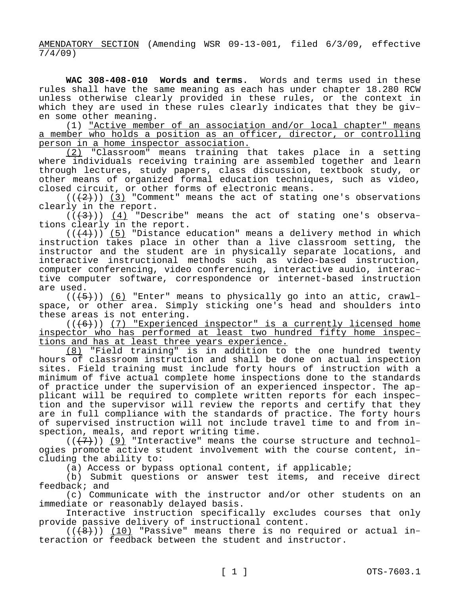AMENDATORY SECTION (Amending WSR 09-13-001, filed 6/3/09, effective  $\frac{7}{1}/\frac{4}{9}$ )

**WAC 308-408-010 Words and terms.** Words and terms used in these rules shall have the same meaning as each has under chapter 18.280 RCW unless otherwise clearly provided in these rules, or the context in which they are used in these rules clearly indicates that they be given some other meaning.

(1) "Active member of an association and/or local chapter" means a member who holds a position as an officer, director, or controlling person in a home inspector association.

(2) "Classroom" means training that takes place in a setting where individuals receiving training are assembled together and learn through lectures, study papers, class discussion, textbook study, or other means of organized formal education techniques, such as video, closed circuit, or other forms of electronic means.

 $((+2))$  (3) "Comment" means the act of stating one's observations clearly in the report.

 $((+3))$  (4) "Describe" means the act of stating one's observations clearly in the report.

 $((+4))$  (5) "Distance education" means a delivery method in which instruction takes place in other than a live classroom setting, the instructor and the student are in physically separate locations, and interactive instructional methods such as video-based instruction, computer conferencing, video conferencing, interactive audio, interactive computer software, correspondence or internet-based instruction are used.

 $((+5))$  (6) "Enter" means to physically go into an attic, crawlspace, or other area. Simply sticking one's head and shoulders into these areas is not entering.

 $((+6))$  (7) "Experienced inspector" is a currently licensed home inspector who has performed at least two hundred fifty home inspections and has at least three years experience.

(8) "Field training" is in addition to the one hundred twenty hours of classroom instruction and shall be done on actual inspection sites. Field training must include forty hours of instruction with a minimum of five actual complete home inspections done to the standards of practice under the supervision of an experienced inspector. The applicant will be required to complete written reports for each inspection and the supervisor will review the reports and certify that they are in full compliance with the standards of practice. The forty hours of supervised instruction will not include travel time to and from inspection, meals, and report writing time.

 $((+7+))$  (9) "Interactive" means the course structure and technologies promote active student involvement with the course content, including the ability to:

(a) Access or bypass optional content, if applicable;

(b) Submit questions or answer test items, and receive direct feedback; and

(c) Communicate with the instructor and/or other students on an immediate or reasonably delayed basis.

Interactive instruction specifically excludes courses that only provide passive delivery of instructional content.

 $((+8))$  (10) "Passive" means there is no required or actual interaction or feedback between the student and instructor.